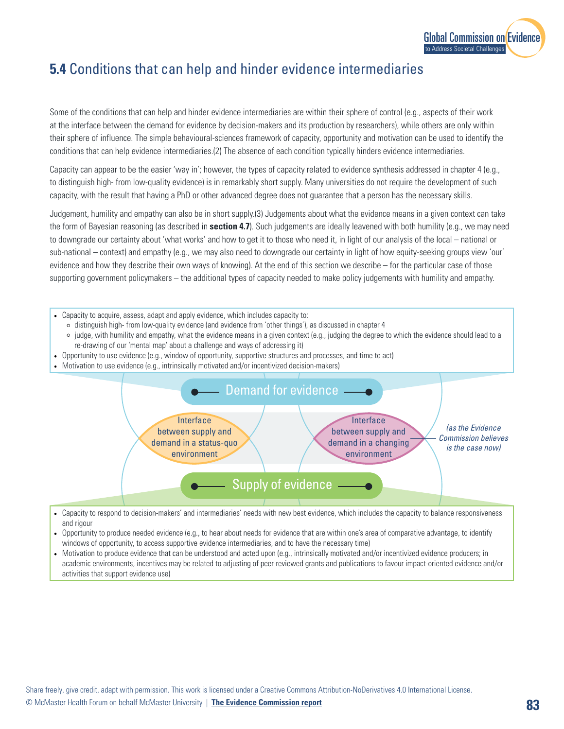

# **5.4** Conditions that can help and hinder evidence intermediaries

Some of the conditions that can help and hinder evidence intermediaries are within their sphere of control (e.g., aspects of their work at the interface between the demand for evidence by decision-makers and its production by researchers), while others are only within their sphere of influence. The simple behavioural-sciences framework of capacity, opportunity and motivation can be used to identify the conditions that can help evidence intermediaries.(2) The absence of each condition typically hinders evidence intermediaries.

Capacity can appear to be the easier 'way in'; however, the types of capacity related to evidence synthesis addressed in chapter 4 (e.g., to distinguish high- from low-quality evidence) is in remarkably short supply. Many universities do not require the development of such capacity, with the result that having a PhD or other advanced degree does not guarantee that a person has the necessary skills.

Judgement, humility and empathy can also be in short supply.(3) Judgements about what the evidence means in a given context can take the form of Bayesian reasoning (as described in **section 4.7**). Such judgements are ideally leavened with both humility (e.g., we may need to downgrade our certainty about 'what works' and how to get it to those who need it, in light of our analysis of the local – national or sub-national – context) and empathy (e.g., we may also need to downgrade our certainty in light of how equity-seeking groups view 'our' evidence and how they describe their own ways of knowing). At the end of this section we describe – for the particular case of those supporting government policymakers – the additional types of capacity needed to make policy judgements with humility and empathy.

- Capacity to acquire, assess, adapt and apply evidence, which includes capacity to:
	- ⚪ distinguish high- from low-quality evidence (and evidence from 'other things'), as discussed in chapter 4
	- $\circ$  judge, with humility and empathy, what the evidence means in a given context (e.g., judging the degree to which the evidence should lead to a re-drawing of our 'mental map' about a challenge and ways of addressing it)
- Opportunity to use evidence (e.g., window of opportunity, supportive structures and processes, and time to act)
- Motivation to use evidence (e.g., intrinsically motivated and/or incentivized decision-makers)



- Capacity to respond to decision-makers' and intermediaries' needs with new best evidence, which includes the capacity to balance responsiveness and rigour
- Opportunity to produce needed evidence (e.g., to hear about needs for evidence that are within one's area of comparative advantage, to identify windows of opportunity, to access supportive evidence intermediaries, and to have the necessary time)
- Motivation to produce evidence that can be understood and acted upon (e.g., intrinsically motivated and/or incentivized evidence producers; in academic environments, incentives may be related to adjusting of peer-reviewed grants and publications to favour impact-oriented evidence and/or activities that support evidence use)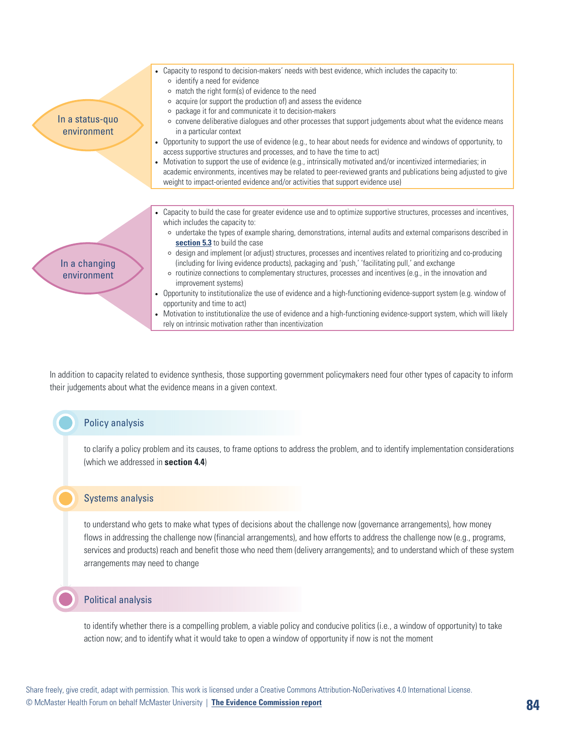

In addition to capacity related to evidence synthesis, those supporting government policymakers need four other types of capacity to inform their judgements about what the evidence means in a given context.

## Policy analysis

to clarify a policy problem and its causes, to frame options to address the problem, and to identify implementation considerations (which we addressed in **section 4.4**)

#### Systems analysis

to understand who gets to make what types of decisions about the challenge now (governance arrangements), how money flows in addressing the challenge now (financial arrangements), and how efforts to address the challenge now (e.g., programs, services and products) reach and benefit those who need them (delivery arrangements); and to understand which of these system arrangements may need to change

#### Political analysis

to identify whether there is a compelling problem, a viable policy and conducive politics (i.e., a window of opportunity) to take action now; and to identify what it would take to open a window of opportunity if now is not the moment